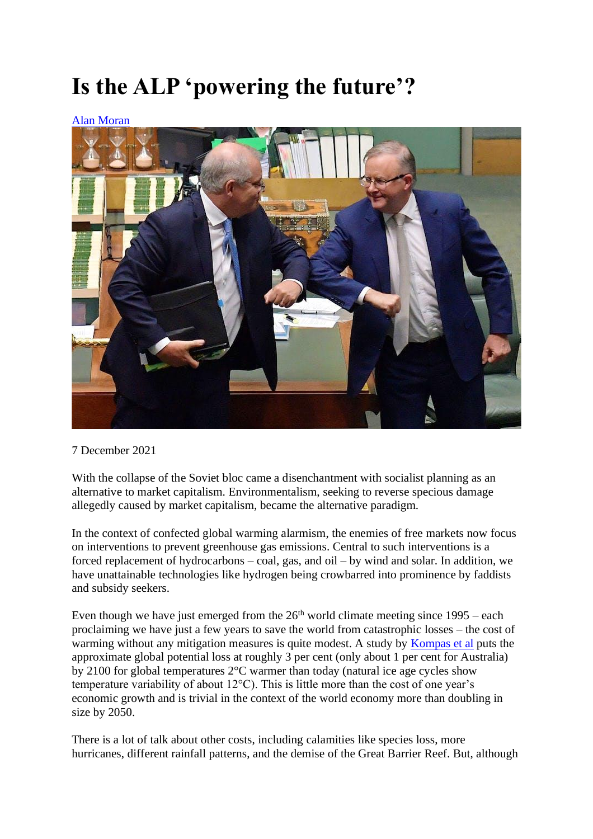## **Is the ALP 'powering the future'?**

## [Alan Moran](https://spectator.com.au/author/alanmoran/)



## 7 December 2021

With the collapse of the Soviet bloc came a disenchantment with socialist planning as an alternative to market capitalism. Environmentalism, seeking to reverse specious damage allegedly caused by market capitalism, became the alternative paradigm.

In the context of confected global warming alarmism, the enemies of free markets now focus on interventions to prevent greenhouse gas emissions. Central to such interventions is a forced replacement of hydrocarbons – coal, gas, and oil – by wind and solar. In addition, we have unattainable technologies like hydrogen being crowbarred into prominence by faddists and subsidy seekers.

Even though we have just emerged from the  $26<sup>th</sup>$  world climate meeting since  $1995 - each$ proclaiming we have just a few years to save the world from catastrophic losses – the cost of warming without any mitigation measures is quite modest. A study by [Kompas et al](https://agupubs.onlinelibrary.wiley.com/doi/full/10.1029/2018EF000922) puts the approximate global potential loss at roughly 3 per cent (only about 1 per cent for Australia) by 2100 for global temperatures 2°C warmer than today (natural ice age cycles show temperature variability of about 12°C). This is little more than the cost of one year's economic growth and is trivial in the context of the world economy more than doubling in size by 2050.

There is a lot of talk about other costs, including calamities like species loss, more hurricanes, different rainfall patterns, and the demise of the Great Barrier Reef. But, although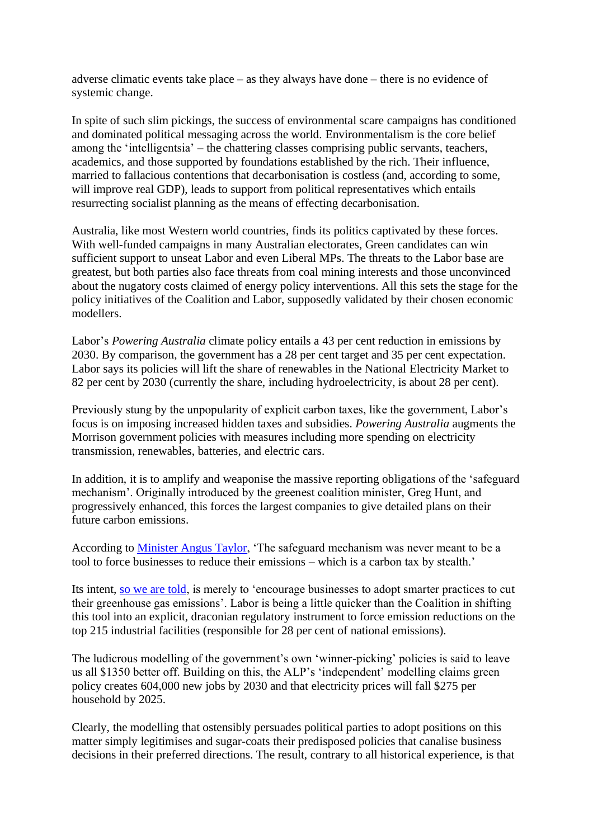adverse climatic events take place – as they always have done – there is no evidence of systemic change.

In spite of such slim pickings, the success of environmental scare campaigns has conditioned and dominated political messaging across the world. Environmentalism is the core belief among the 'intelligentsia' – the chattering classes comprising public servants, teachers, academics, and those supported by foundations established by the rich. Their influence, married to fallacious contentions that decarbonisation is costless (and, according to some, will improve real GDP), leads to support from political representatives which entails resurrecting socialist planning as the means of effecting decarbonisation.

Australia, like most Western world countries, finds its politics captivated by these forces. With well-funded campaigns in many Australian electorates, Green candidates can win sufficient support to unseat Labor and even Liberal MPs. The threats to the Labor base are greatest, but both parties also face threats from coal mining interests and those unconvinced about the nugatory costs claimed of energy policy interventions. All this sets the stage for the policy initiatives of the Coalition and Labor, supposedly validated by their chosen economic modellers.

Labor's *Powering Australia* climate policy entails a 43 per cent reduction in emissions by 2030. By comparison, the government has a 28 per cent target and 35 per cent expectation. Labor says its policies will lift the share of renewables in the National Electricity Market to 82 per cent by 2030 (currently the share, including hydroelectricity, is about 28 per cent).

Previously stung by the unpopularity of explicit carbon taxes, like the government, Labor's focus is on imposing increased hidden taxes and subsidies. *Powering Australia* augments the Morrison government policies with measures including more spending on electricity transmission, renewables, batteries, and electric cars.

In addition, it is to amplify and weaponise the massive reporting obligations of the 'safeguard mechanism'. Originally introduced by the greenest coalition minister, Greg Hunt, and progressively enhanced, this forces the largest companies to give detailed plans on their future carbon emissions.

According to [Minister Angus Taylor,](https://www.afr.com/companies/energy/no-new-limits-for-big-polluters-despite-net-zero-pledge-angus-taylor-20211116-p599ft) 'The safeguard mechanism was never meant to be a tool to force businesses to reduce their emissions – which is a carbon tax by stealth.'

Its intent, [so we are told,](https://www.industry.gov.au/regulations-and-standards/national-greenhouse-and-energy-reporting-scheme/safeguard-mechanism) is merely to 'encourage businesses to adopt smarter practices to cut their greenhouse gas emissions'. Labor is being a little quicker than the Coalition in shifting this tool into an explicit, draconian regulatory instrument to force emission reductions on the top 215 industrial facilities (responsible for 28 per cent of national emissions).

The ludicrous modelling of the government's own 'winner-picking' policies is said to leave us all \$1350 better off. Building on this, the ALP's 'independent' modelling claims green policy creates 604,000 new jobs by 2030 and that electricity prices will fall \$275 per household by 2025.

Clearly, the modelling that ostensibly persuades political parties to adopt positions on this matter simply legitimises and sugar-coats their predisposed policies that canalise business decisions in their preferred directions. The result, contrary to all historical experience, is that